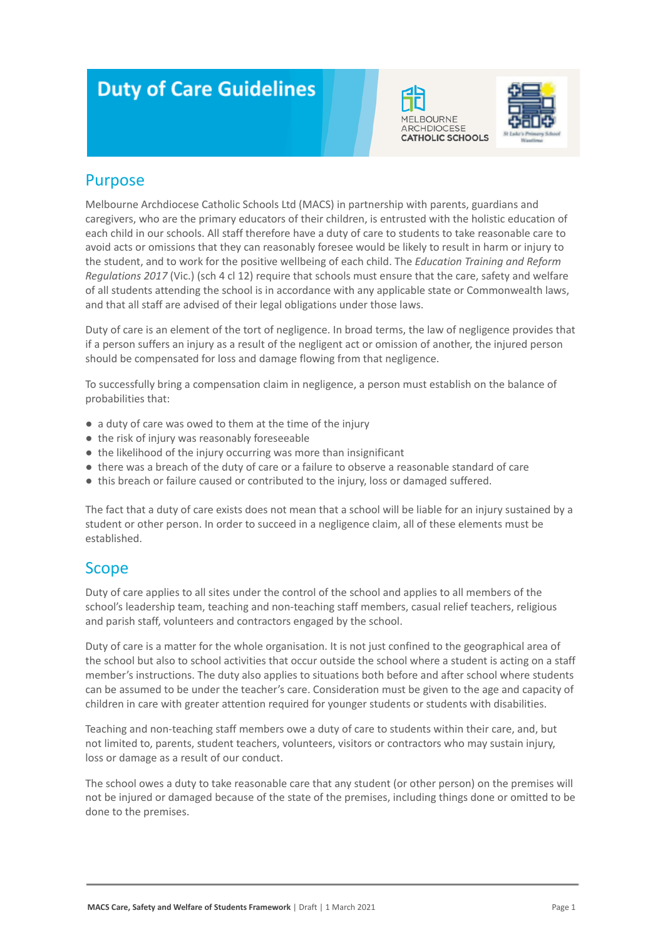# **Duty of Care Guidelines**





#### Purpose

Melbourne Archdiocese Catholic Schools Ltd (MACS) in partnership with parents, guardians and caregivers, who are the primary educators of their children, is entrusted with the holistic education of each child in our schools. All staff therefore have a duty of care to students to take reasonable care to avoid acts or omissions that they can reasonably foresee would be likely to result in harm or injury to the student, and to work for the positive wellbeing of each child. The *Education Training and Reform Regulations 2017* (Vic.) (sch 4 cl 12) require that schools must ensure that the care, safety and welfare of all students attending the school is in accordance with any applicable state or Commonwealth laws, and that all staff are advised of their legal obligations under those laws.

Duty of care is an element of the tort of negligence. In broad terms, the law of negligence provides that if a person suffers an injury as a result of the negligent act or omission of another, the injured person should be compensated for loss and damage flowing from that negligence.

To successfully bring a compensation claim in negligence, a person must establish on the balance of probabilities that:

- a duty of care was owed to them at the time of the injury
- the risk of injury was reasonably foreseeable
- the likelihood of the injury occurring was more than insignificant
- there was a breach of the duty of care or a failure to observe a reasonable standard of care
- this breach or failure caused or contributed to the injury, loss or damaged suffered.

The fact that a duty of care exists does not mean that a school will be liable for an injury sustained by a student or other person. In order to succeed in a negligence claim, all of these elements must be established.

#### **Scope**

Duty of care applies to all sites under the control of the school and applies to all members of the school's leadership team, teaching and non-teaching staff members, casual relief teachers, religious and parish staff, volunteers and contractors engaged by the school.

Duty of care is a matter for the whole organisation. It is not just confined to the geographical area of the school but also to school activities that occur outside the school where a student is acting on a staff member's instructions. The duty also applies to situations both before and after school where students can be assumed to be under the teacher's care. Consideration must be given to the age and capacity of children in care with greater attention required for younger students or students with disabilities.

Teaching and non-teaching staff members owe a duty of care to students within their care, and, but not limited to, parents, student teachers, volunteers, visitors or contractors who may sustain injury, loss or damage as a result of our conduct.

The school owes a duty to take reasonable care that any student (or other person) on the premises will not be injured or damaged because of the state of the premises, including things done or omitted to be done to the premises.